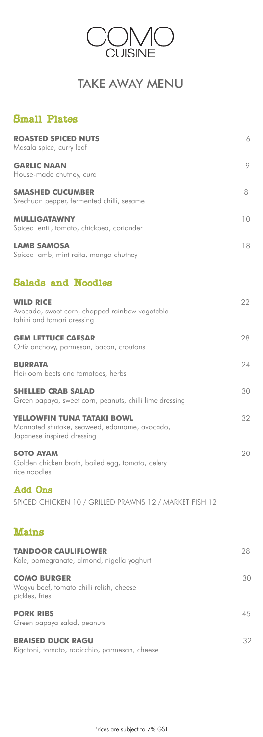| <b>ROASTED SPICED NUTS</b><br>Masala spice, curry leaf                                                     | 6  |
|------------------------------------------------------------------------------------------------------------|----|
| <b>GARLIC NAAN</b><br>House-made chutney, curd                                                             | 9  |
| <b>SMASHED CUCUMBER</b><br>Szechuan pepper, fermented chilli, sesame                                       | 8  |
| <b>MULLIGATAWNY</b><br>Spiced lentil, tomato, chickpea, coriander                                          | 10 |
| <b>LAMB SAMOSA</b><br>Spiced lamb, mint raita, mango chutney                                               | 18 |
| <b>Salads and Noodles</b>                                                                                  |    |
| <b>WILD RICE</b><br>Avocado, sweet corn, chopped rainbow vegetable<br>tahini and tamari dressing           | 22 |
| <b>GEM LETTUCE CAESAR</b><br>Ortiz anchovy, parmesan, bacon, croutons                                      | 28 |
| <b>BURRATA</b><br>Heirloom beets and tomatoes, herbs                                                       | 24 |
| <b>SHELLED CRAB SALAD</b><br>Green papaya, sweet corn, peanuts, chilli lime dressing                       | 30 |
| YELLOWFIN TUNA TATAKI BOWL<br>Marinated shiitake, seaweed, edamame, avocado,<br>Japanese inspired dressing | 32 |
| <b>SOTO AYAM</b><br>Golden chicken broth, boiled egg, tomato, celery<br>rice noodles                       | 20 |
| <b>Add Ons</b>                                                                                             |    |

SPICED CHICKEN 10 / GRILLED PRAWNS 12 / MARKET FISH 12

## Mains

#### **TANDOOR CAULIFLOWER** 28

Kale, pomegranate, almond, nigella yoghurt

#### **COMO BURGER** 30

Wagyu beef, tomato chilli relish, cheese pickles, fries

#### **PORK RIBS** 45

Green papaya salad, peanuts

#### **BRAISED DUCK RAGU** 32

Rigatoni, tomato, radicchio, parmesan, cheese

Prices are subject to 7% GST



# TAKE AWAY MENU